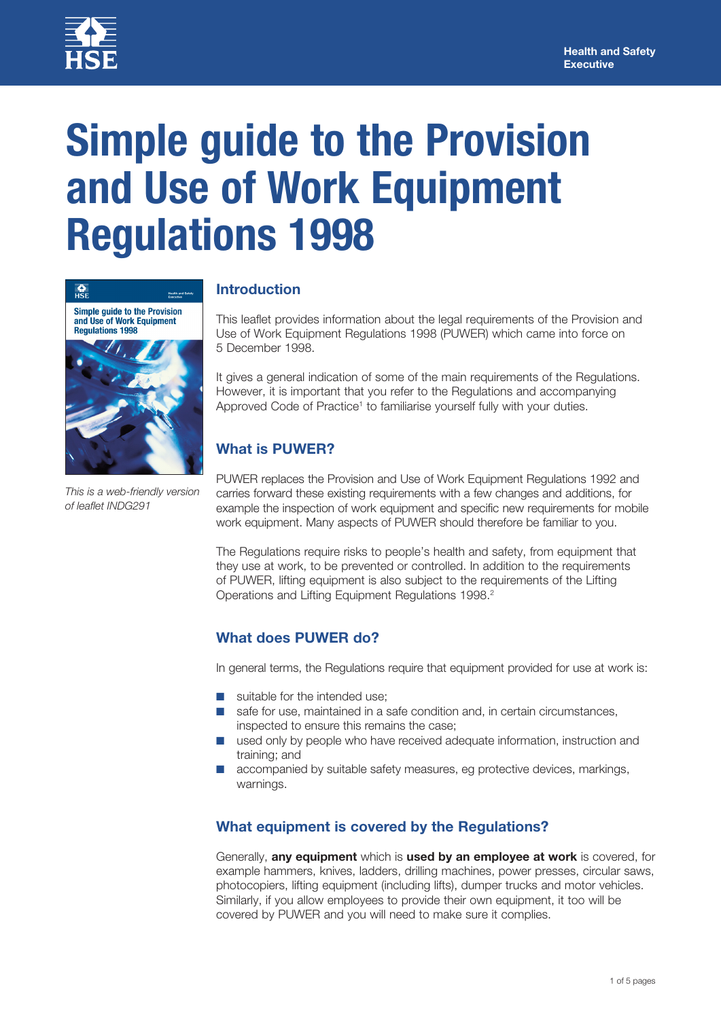

# **Simple guide to the Provision and Use of Work Equipment Regulations 1998**



*This is a web-friendly version of leaflet INDG291*

# **Introduction**

This leaflet provides information about the legal requirements of the Provision and Use of Work Equipment Regulations 1998 (PUWER) which came into force on 5 December 1998.

It gives a general indication of some of the main requirements of the Regulations. However, it is important that you refer to the Regulations and accompanying Approved Code of Practice<sup>1</sup> to familiarise yourself fully with your duties.

# **What is PUWER?**

PUWER replaces the Provision and Use of Work Equipment Regulations 1992 and carries forward these existing requirements with a few changes and additions, for example the inspection of work equipment and specific new requirements for mobile work equipment. Many aspects of PUWER should therefore be familiar to you.

The Regulations require risks to people's health and safety, from equipment that they use at work, to be prevented or controlled. In addition to the requirements of PUWER, lifting equipment is also subject to the requirements of the Lifting Operations and Lifting Equipment Regulations 1998.<sup>2</sup>

## **What does PUWER do?**

In general terms, the Regulations require that equipment provided for use at work is:

- suitable for the intended use:
- safe for use, maintained in a safe condition and, in certain circumstances, inspected to ensure this remains the case;
- used only by people who have received adequate information, instruction and training; and
- accompanied by suitable safety measures, eg protective devices, markings, warnings.

## **What equipment is covered by the Regulations?**

Generally, **any equipment** which is **used by an employee at work** is covered, for example hammers, knives, ladders, drilling machines, power presses, circular saws, photocopiers, lifting equipment (including lifts), dumper trucks and motor vehicles. Similarly, if you allow employees to provide their own equipment, it too will be covered by PUWER and you will need to make sure it complies.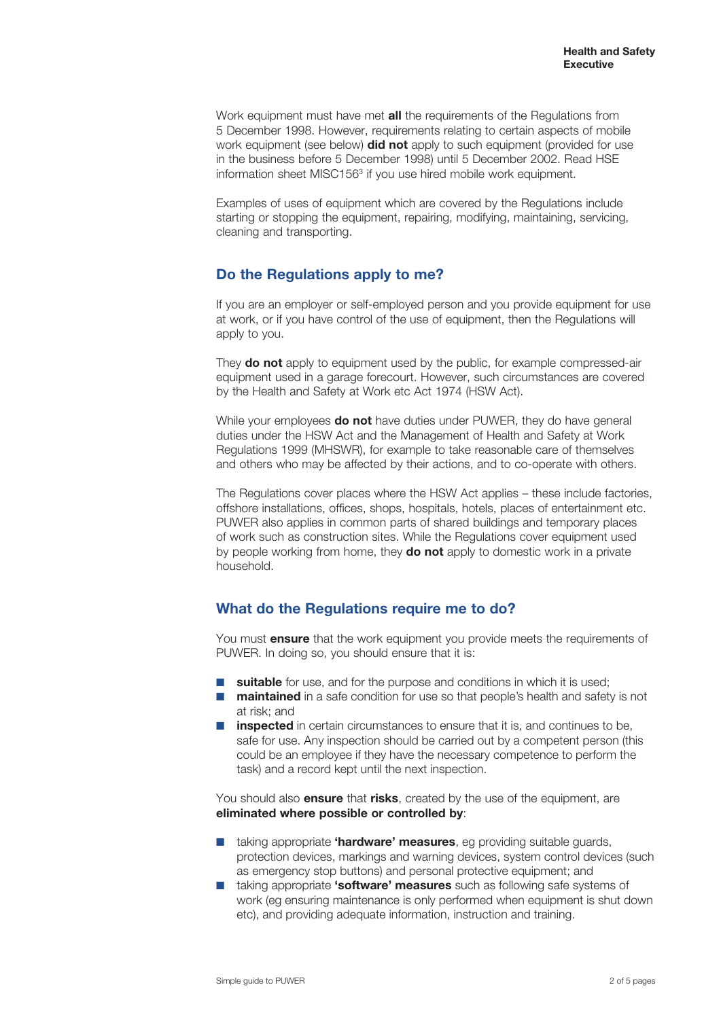Work equipment must have met **all** the requirements of the Regulations from 5 December 1998. However, requirements relating to certain aspects of mobile work equipment (see below) **did not** apply to such equipment (provided for use in the business before 5 December 1998) until 5 December 2002. Read HSE information sheet MISC156<sup>3</sup> if you use hired mobile work equipment.

Examples of uses of equipment which are covered by the Regulations include starting or stopping the equipment, repairing, modifying, maintaining, servicing, cleaning and transporting.

#### **Do the Regulations apply to me?**

If you are an employer or self-employed person and you provide equipment for use at work, or if you have control of the use of equipment, then the Regulations will apply to you.

They **do not** apply to equipment used by the public, for example compressed-air equipment used in a garage forecourt. However, such circumstances are covered by the Health and Safety at Work etc Act 1974 (HSW Act).

While your employees **do not** have duties under PUWER, they do have general duties under the HSW Act and the Management of Health and Safety at Work Regulations 1999 (MHSWR), for example to take reasonable care of themselves and others who may be affected by their actions, and to co-operate with others.

The Regulations cover places where the HSW Act applies – these include factories, offshore installations, offices, shops, hospitals, hotels, places of entertainment etc. PUWER also applies in common parts of shared buildings and temporary places of work such as construction sites. While the Regulations cover equipment used by people working from home, they **do not** apply to domestic work in a private household.

## **What do the Regulations require me to do?**

You must **ensure** that the work equipment you provide meets the requirements of PUWER. In doing so, you should ensure that it is:

- **suitable** for use, and for the purpose and conditions in which it is used;
- **maintained** in a safe condition for use so that people's health and safety is not at risk; and
- **inspected** in certain circumstances to ensure that it is, and continues to be, safe for use. Any inspection should be carried out by a competent person (this could be an employee if they have the necessary competence to perform the task) and a record kept until the next inspection.

You should also **ensure** that **risks**, created by the use of the equipment, are **eliminated where possible or controlled by**:

- taking appropriate **'hardware' measures**, eg providing suitable guards, protection devices, markings and warning devices, system control devices (such as emergency stop buttons) and personal protective equipment; and
- taking appropriate **'software' measures** such as following safe systems of work (eg ensuring maintenance is only performed when equipment is shut down etc), and providing adequate information, instruction and training.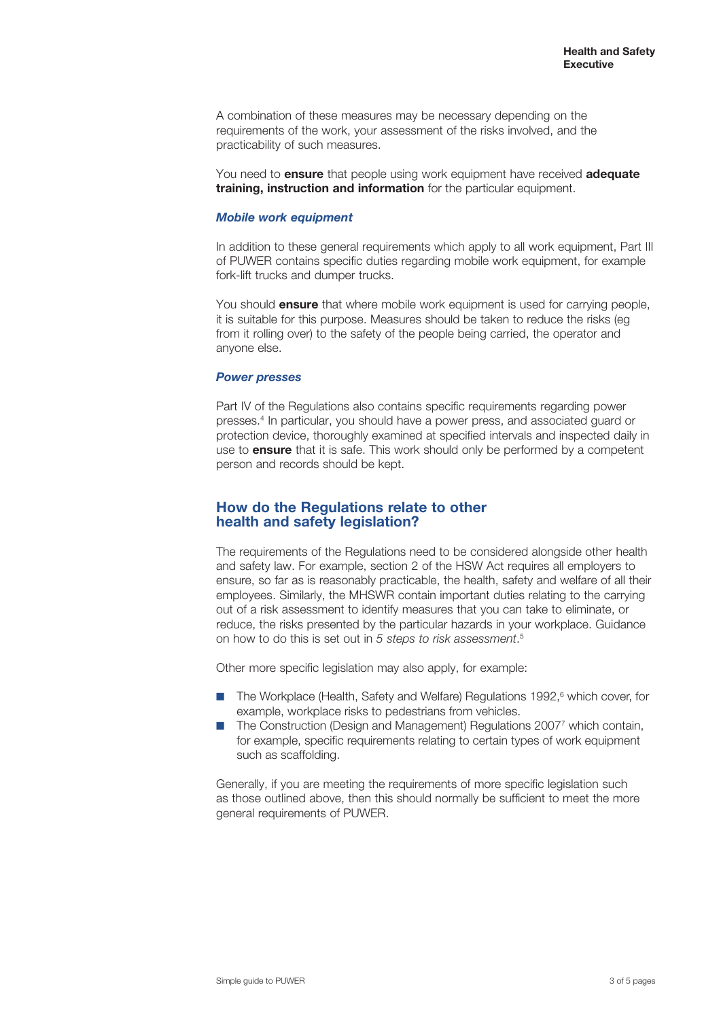A combination of these measures may be necessary depending on the requirements of the work, your assessment of the risks involved, and the practicability of such measures.

You need to **ensure** that people using work equipment have received **adequate training, instruction and information** for the particular equipment.

#### *Mobile work equipment*

In addition to these general requirements which apply to all work equipment, Part III of PUWER contains specific duties regarding mobile work equipment, for example fork-lift trucks and dumper trucks.

You should **ensure** that where mobile work equipment is used for carrying people, it is suitable for this purpose. Measures should be taken to reduce the risks (eg from it rolling over) to the safety of the people being carried, the operator and anyone else.

#### *Power presses*

Part IV of the Regulations also contains specific requirements regarding power presses.4 In particular, you should have a power press, and associated guard or protection device, thoroughly examined at specified intervals and inspected daily in use to **ensure** that it is safe. This work should only be performed by a competent person and records should be kept.

#### **How do the Regulations relate to other health and safety legislation?**

The requirements of the Regulations need to be considered alongside other health and safety law. For example, section 2 of the HSW Act requires all employers to ensure, so far as is reasonably practicable, the health, safety and welfare of all their employees. Similarly, the MHSWR contain important duties relating to the carrying out of a risk assessment to identify measures that you can take to eliminate, or reduce, the risks presented by the particular hazards in your workplace. Guidance on how to do this is set out in *5 steps to risk assessment*. 5

Other more specific legislation may also apply, for example:

- The Workplace (Health, Safety and Welfare) Regulations 1992,<sup>6</sup> which cover, for example, workplace risks to pedestrians from vehicles.
- The Construction (Design and Management) Regulations 2007<sup>7</sup> which contain, for example, specific requirements relating to certain types of work equipment such as scaffolding.

Generally, if you are meeting the requirements of more specific legislation such as those outlined above, then this should normally be sufficient to meet the more general requirements of PUWER.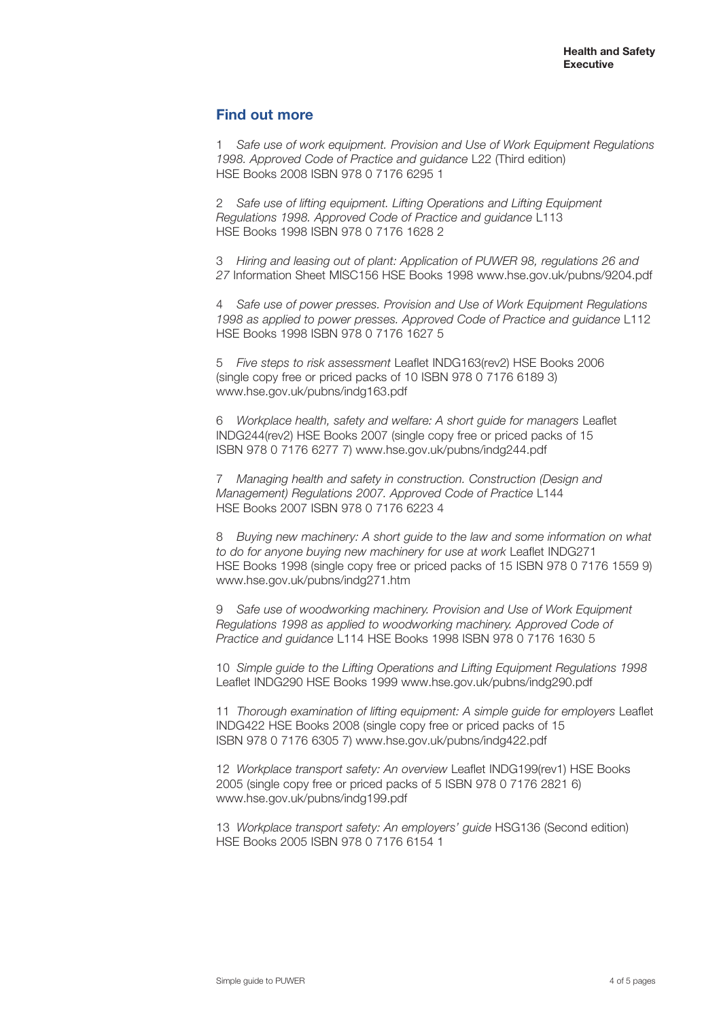#### **Find out more**

1 *Safe use of work equipment. Provision and Use of Work Equipment Regulations 1998. Approved Code of Practice and guidance* L22 (Third edition) HSE Books 2008 ISBN 978 0 7176 6295 1

2 *Safe use of lifting equipment. Lifting Operations and Lifting Equipment Regulations 1998. Approved Code of Practice and guidance* L113 HSE Books 1998 ISBN 978 0 7176 1628 2

3 *Hiring and leasing out of plant: Application of PUWER 98, regulations 26 and 27* Information Sheet MISC156 HSE Books 1998 www.hse.gov.uk/pubns/9204.pdf

4 *Safe use of power presses. Provision and Use of Work Equipment Regulations 1998 as applied to power presses. Approved Code of Practice and guidance* L112 HSE Books 1998 ISBN 978 0 7176 1627 5

5 *Five steps to risk assessment* Leaflet INDG163(rev2) HSE Books 2006 (single copy free or priced packs of 10 ISBN 978 0 7176 6189 3) www.hse.gov.uk/pubns/indg163.pdf

6 *Workplace health, safety and welfare: A short guide for managers* Leaflet INDG244(rev2) HSE Books 2007 (single copy free or priced packs of 15 ISBN 978 0 7176 6277 7) www.hse.gov.uk/pubns/indg244.pdf

7 *Managing health and safety in construction. Construction (Design and Management) Regulations 2007. Approved Code of Practice* L144 HSE Books 2007 ISBN 978 0 7176 6223 4

8 *Buying new machinery: A short guide to the law and some information on what to do for anyone buying new machinery for use at work* Leaflet INDG271 HSE Books 1998 (single copy free or priced packs of 15 ISBN 978 0 7176 1559 9) www.hse.gov.uk/pubns/indg271.htm

9 *Safe use of woodworking machinery. Provision and Use of Work Equipment Regulations 1998 as applied to woodworking machinery. Approved Code of Practice and guidance* L114 HSE Books 1998 ISBN 978 0 7176 1630 5

10 *Simple guide to the Lifting Operations and Lifting Equipment Regulations 1998* Leaflet INDG290 HSE Books 1999 www.hse.gov.uk/pubns/indg290.pdf

11 *Thorough examination of lifting equipment: A simple guide for employers* Leaflet INDG422 HSE Books 2008 (single copy free or priced packs of 15 ISBN 978 0 7176 6305 7) www.hse.gov.uk/pubns/indg422.pdf

12 *Workplace transport safety: An overview* Leaflet INDG199(rev1) HSE Books 2005 (single copy free or priced packs of 5 ISBN 978 0 7176 2821 6) www.hse.gov.uk/pubns/indg199.pdf

13 *Workplace transport safety: An employers' guide* HSG136 (Second edition) HSE Books 2005 ISBN 978 0 7176 6154 1